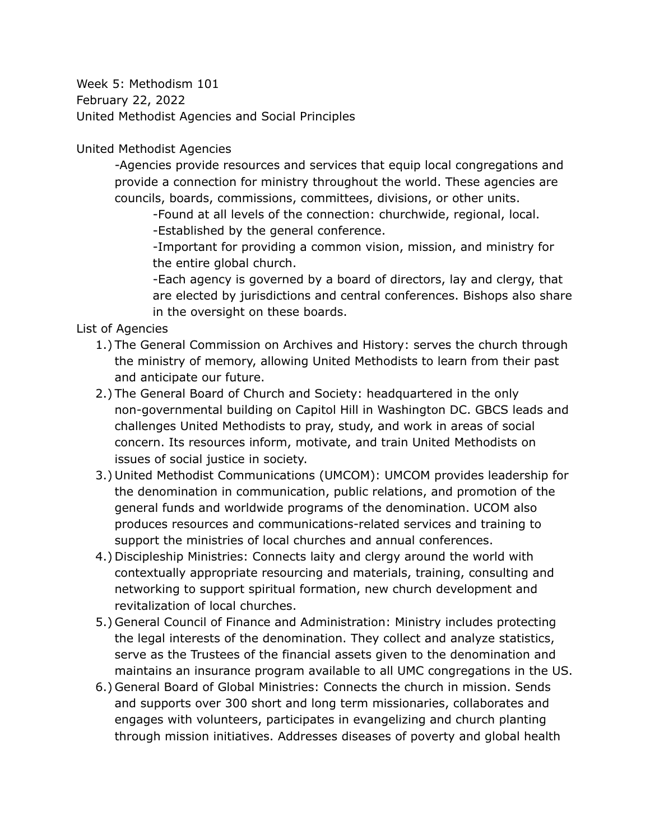Week 5: Methodism 101 February 22, 2022 United Methodist Agencies and Social Principles

United Methodist Agencies

-Agencies provide resources and services that equip local congregations and provide a connection for ministry throughout the world. These agencies are councils, boards, commissions, committees, divisions, or other units.

-Found at all levels of the connection: churchwide, regional, local. -Established by the general conference.

-Important for providing a common vision, mission, and ministry for the entire global church.

-Each agency is governed by a board of directors, lay and clergy, that are elected by jurisdictions and central conferences. Bishops also share in the oversight on these boards.

List of Agencies

- 1.) The General Commission on Archives and History: serves the church through the ministry of memory, allowing United Methodists to learn from their past and anticipate our future.
- 2.) The General Board of Church and Society: headquartered in the only non-governmental building on Capitol Hill in Washington DC. GBCS leads and challenges United Methodists to pray, study, and work in areas of social concern. Its resources inform, motivate, and train United Methodists on issues of social justice in society.
- 3.) United Methodist Communications (UMCOM): UMCOM provides leadership for the denomination in communication, public relations, and promotion of the general funds and worldwide programs of the denomination. UCOM also produces resources and communications-related services and training to support the ministries of local churches and annual conferences.
- 4.) Discipleship Ministries: Connects laity and clergy around the world with contextually appropriate resourcing and materials, training, consulting and networking to support spiritual formation, new church development and revitalization of local churches.
- 5.) General Council of Finance and Administration: Ministry includes protecting the legal interests of the denomination. They collect and analyze statistics, serve as the Trustees of the financial assets given to the denomination and maintains an insurance program available to all UMC congregations in the US.
- 6.) General Board of Global Ministries: Connects the church in mission. Sends and supports over 300 short and long term missionaries, collaborates and engages with volunteers, participates in evangelizing and church planting through mission initiatives. Addresses diseases of poverty and global health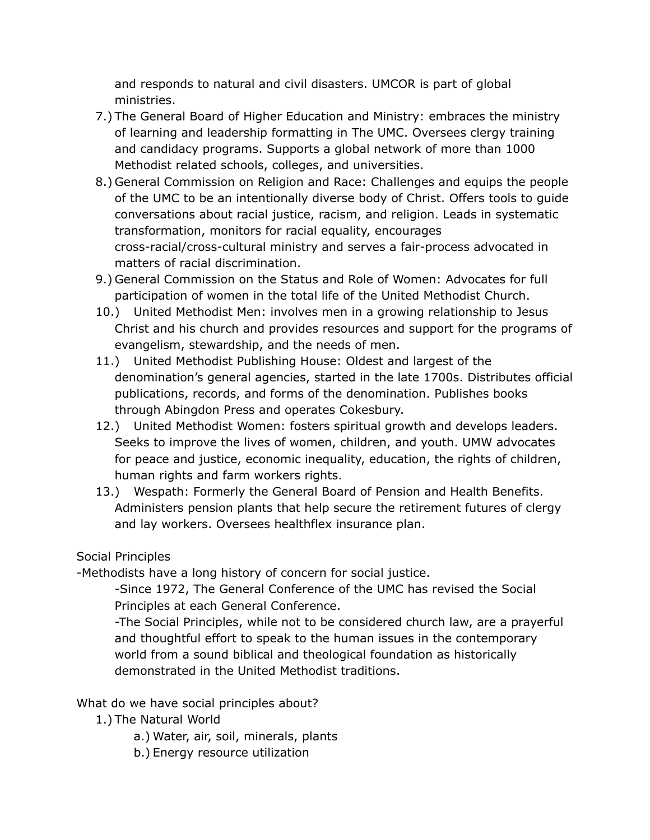and responds to natural and civil disasters. UMCOR is part of global ministries.

- 7.) The General Board of Higher Education and Ministry: embraces the ministry of learning and leadership formatting in The UMC. Oversees clergy training and candidacy programs. Supports a global network of more than 1000 Methodist related schools, colleges, and universities.
- 8.) General Commission on Religion and Race: Challenges and equips the people of the UMC to be an intentionally diverse body of Christ. Offers tools to guide conversations about racial justice, racism, and religion. Leads in systematic transformation, monitors for racial equality, encourages cross-racial/cross-cultural ministry and serves a fair-process advocated in matters of racial discrimination.
- 9.) General Commission on the Status and Role of Women: Advocates for full participation of women in the total life of the United Methodist Church.
- 10.) United Methodist Men: involves men in a growing relationship to Jesus Christ and his church and provides resources and support for the programs of evangelism, stewardship, and the needs of men.
- 11.) United Methodist Publishing House: Oldest and largest of the denomination's general agencies, started in the late 1700s. Distributes official publications, records, and forms of the denomination. Publishes books through Abingdon Press and operates Cokesbury.
- 12.) United Methodist Women: fosters spiritual growth and develops leaders. Seeks to improve the lives of women, children, and youth. UMW advocates for peace and justice, economic inequality, education, the rights of children, human rights and farm workers rights.
- 13.) Wespath: Formerly the General Board of Pension and Health Benefits. Administers pension plants that help secure the retirement futures of clergy and lay workers. Oversees healthflex insurance plan.

## Social Principles

-Methodists have a long history of concern for social justice.

-Since 1972, The General Conference of the UMC has revised the Social Principles at each General Conference.

-The Social Principles, while not to be considered church law, are a prayerful and thoughtful effort to speak to the human issues in the contemporary world from a sound biblical and theological foundation as historically demonstrated in the United Methodist traditions.

## What do we have social principles about?

- 1.) The Natural World
	- a.) Water, air, soil, minerals, plants
	- b.) Energy resource utilization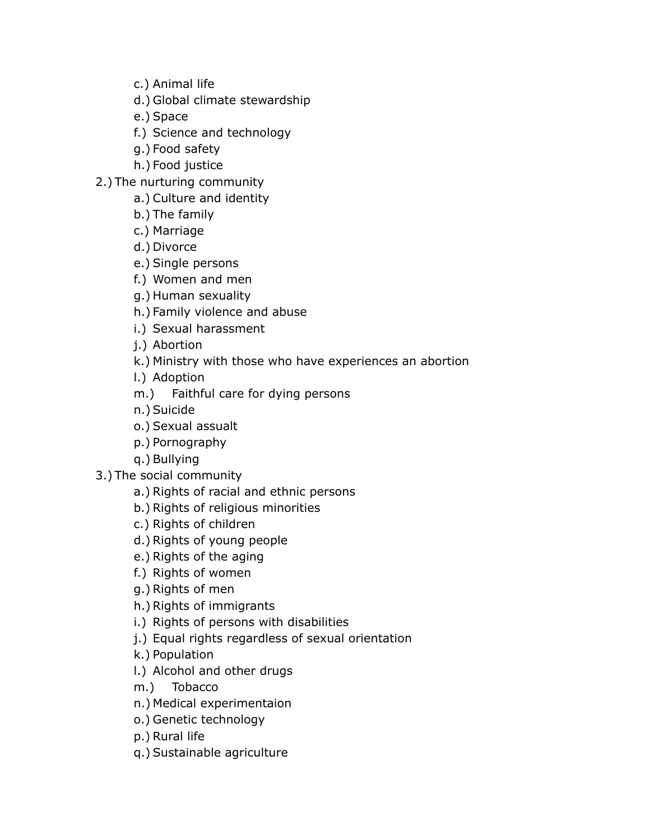- c.) Animal life
- d.) Global climate stewardship
- e.) Space
- f.) Science and technology
- g.) Food safety
- h.) Food justice
- 2.) The nurturing community
	- a.) Culture and identity
	- b.) The family
	- c.) Marriage
	- d.) Divorce
	- e.) Single persons
	- f.) Women and men
	- g.) Human sexuality
	- h.) Family violence and abuse
	- i.) Sexual harassment
	- j.) Abortion
	- k.) Ministry with those who have experiences an abortion
	- l.) Adoption
	- m.) Faithful care for dying persons
	- n.) Suicide
	- o.) Sexual assualt
	- p.) Pornography
	- q.) Bullying
- 3.) The social community
	- a.) Rights of racial and ethnic persons
	- b.) Rights of religious minorities
	- c.) Rights of children
	- d.) Rights of young people
	- e.) Rights of the aging
	- f.) Rights of women
	- g.) Rights of men
	- h.) Rights of immigrants
	- i.) Rights of persons with disabilities
	- j.) Equal rights regardless of sexual orientation
	- k.) Population
	- l.) Alcohol and other drugs
	- m.) Tobacco
	- n.) Medical experimentaion
	- o.) Genetic technology
	- p.) Rural life
	- q.) Sustainable agriculture